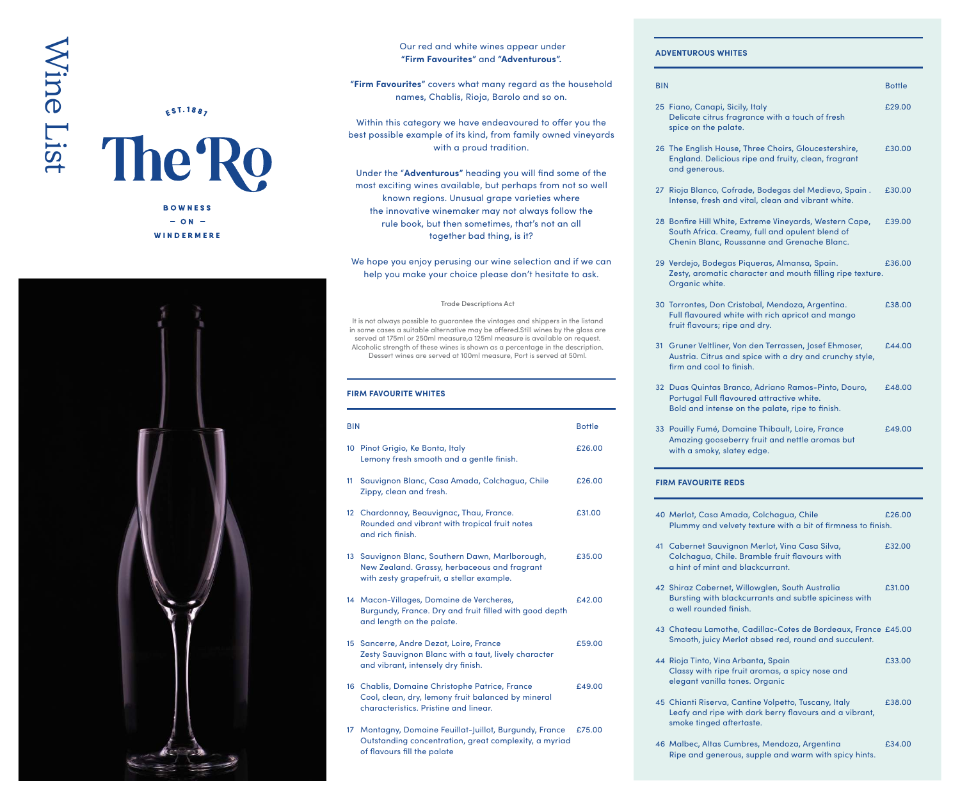# Wine ListWine List

# $E^{S1.188}$

The Ro **BOWNESS**  $-$  ON  $-$ 

WINDERMERE



# Our red and white wines appear under **"Firm Favourites"** and **"Adventurous".**

**"Firm Favourites"** covers what many regard as the household names, Chablis, Rioja, Barolo and so on.

Within this category we have endeavoured to offer you the best possible example of its kind, from family owned vineyards with a proud tradition.

Under the "**Adventurous"** heading you will find some of the most exciting wines available, but perhaps from not so well known regions. Unusual grape varieties where the innovative winemaker may not always follow the rule book, but then sometimes, that's not an all together bad thing, is it?

# We hope you enjoy perusing our wine selection and if we can help you make your choice please don't hesitate to ask.

#### Trade Descriptions Act

It is not always possible to guarantee the vintages and shippers in the listand in some cases a suitable alternative may be offered.Still wines by the glass are served at 175ml or 250ml measure,a 125ml measure is available on request. Alcoholic strength of these wines is shown as a percentage in the description. Dessert wines are served at 100ml measure, Port is served at 50ml.

### **FIRM FAVOURITE WHITES**

of flavours fill the palate

| <b>BIN</b>      |                                                                                                                                               | <b>Bottle</b> |
|-----------------|-----------------------------------------------------------------------------------------------------------------------------------------------|---------------|
|                 | 10 Pinot Grigio, Ke Bonta, Italy<br>Lemony fresh smooth and a gentle finish.                                                                  | £26.00        |
| 11              | Sauvignon Blanc, Casa Amada, Colchagua, Chile<br>Zippy, clean and fresh.                                                                      | £26.00        |
| 12 <sup>2</sup> | Chardonnay, Beauvignac, Thau, France.<br>Rounded and vibrant with tropical fruit notes<br>and rich finish.                                    | £31.00        |
|                 | 13 Sauvignon Blanc, Southern Dawn, Marlborough,<br>New Zealand. Grassy, herbaceous and fragrant<br>with zesty grapefruit, a stellar example.  | £35.00        |
|                 | 14 Macon-Villages, Domaine de Vercheres,<br>Burgundy, France. Dry and fruit filled with good depth<br>and length on the palate.               | £42.00        |
|                 | 15 Sancerre, Andre Dezat, Loire, France<br>Zesty Sauvignon Blanc with a taut, lively character<br>and vibrant, intensely dry finish.          | £59.00        |
|                 | 16 Chablis, Domaine Christophe Patrice, France<br>Cool, clean, dry, lemony fruit balanced by mineral<br>characteristics. Pristine and linear. | £49.00        |
| 17 <sup>2</sup> | Montagny, Domaine Feuillat-Juillot, Burgundy, France<br>Outstanding concentration, great complexity, a myriad                                 | £75.00        |

#### **ADVENTUROUS WHITES**

| <b>BIN</b>                 |                                                                                                                                                           | <b>Bottle</b> |  |
|----------------------------|-----------------------------------------------------------------------------------------------------------------------------------------------------------|---------------|--|
|                            | 25 Fiano, Canapi, Sicily, Italy<br>Delicate citrus fragrance with a touch of fresh<br>spice on the palate.                                                | £29.00        |  |
|                            | 26 The English House, Three Choirs, Gloucestershire,<br>England. Delicious ripe and fruity, clean, fragrant<br>and generous.                              | £30.00        |  |
|                            | 27 Rioja Blanco, Cofrade, Bodegas del Medievo, Spain.<br>Intense, fresh and vital, clean and vibrant white.                                               | £30.00        |  |
|                            | 28 Bonfire Hill White, Extreme Vineyards, Western Cape,<br>South Africa. Creamy, full and opulent blend of<br>Chenin Blanc, Roussanne and Grenache Blanc. | £39.00        |  |
|                            | 29 Verdejo, Bodegas Piqueras, Almansa, Spain.<br>Zesty, aromatic character and mouth filling ripe texture.<br>Organic white.                              | £36.00        |  |
|                            | 30 Torrontes, Don Cristobal, Mendoza, Argentina.<br>Full flavoured white with rich apricot and mango<br>fruit flavours; ripe and dry.                     | £38.00        |  |
|                            | 31 Gruner Veltliner, Von den Terrassen, Josef Ehmoser,<br>Austria. Citrus and spice with a dry and crunchy style,<br>firm and cool to finish.             | £44.00        |  |
|                            | 32 Duas Quintas Branco, Adriano Ramos-Pinto, Douro,<br>Portugal Full flavoured attractive white.<br>Bold and intense on the palate, ripe to finish.       | £48.00        |  |
|                            | 33 Pouilly Fumé, Domaine Thibault, Loire, France<br>Amazing gooseberry fruit and nettle aromas but<br>with a smoky, slatey edge.                          | f.49.00       |  |
| <b>FIRM FAVOURITE REDS</b> |                                                                                                                                                           |               |  |
|                            | 40 Merlot, Casa Amada, Colchagua, Chile<br>Plummy and velvety texture with a bit of firmness to finish.                                                   | £26.00        |  |
|                            | 41 Cabernet Sauvignon Merlot, Vina Casa Silva,<br>Colchagua, Chile. Bramble fruit flavours with<br>a hint of mint and blackcurrant.                       | £32.00        |  |
|                            | 42 Shiraz Cabernet, Willowglen, South Australia<br>Bursting with blackcurrants and subtle spiciness with<br>a well rounded finish.                        | £31.00        |  |
|                            | 43 Chateau Lamothe, Cadillac-Cotes de Bordeaux, France £45.00<br>Smooth, juicy Merlot absed red, round and succulent.                                     |               |  |
|                            | 44 Rioja Tinto, Vina Arbanta, Spain<br>Classy with ripe fruit aromas, a spicy nose and<br>elegant vanilla tones. Organic                                  | £33.00        |  |
|                            | 45 Chianti Riserva, Cantine Volpetto, Tuscany, Italy<br>Leafy and ripe with dark berry flavours and a vibrant,<br>smoke tinged aftertaste.                | £38.00        |  |
|                            | 46 Malbec, Altas Cumbres, Mendoza, Argentina                                                                                                              | £34.00        |  |

Ripe and generous, supple and warm with spicy hints.